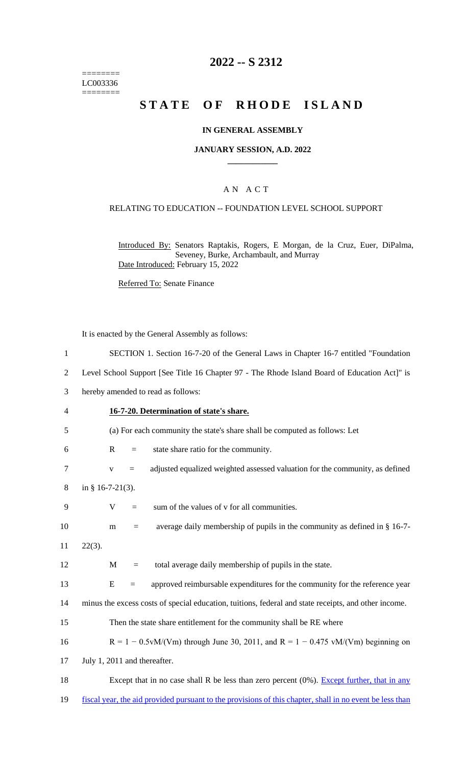======== LC003336 ========

## **2022 -- S 2312**

# **STATE OF RHODE ISLAND**

#### **IN GENERAL ASSEMBLY**

#### **JANUARY SESSION, A.D. 2022 \_\_\_\_\_\_\_\_\_\_\_\_**

### A N A C T

#### RELATING TO EDUCATION -- FOUNDATION LEVEL SCHOOL SUPPORT

Introduced By: Senators Raptakis, Rogers, E Morgan, de la Cruz, Euer, DiPalma, Seveney, Burke, Archambault, and Murray Date Introduced: February 15, 2022

Referred To: Senate Finance

It is enacted by the General Assembly as follows:

 SECTION 1. Section 16-7-20 of the General Laws in Chapter 16-7 entitled "Foundation Level School Support [See Title 16 Chapter 97 - The Rhode Island Board of Education Act]" is hereby amended to read as follows: **16-7-20. Determination of state's share.** (a) For each community the state's share shall be computed as follows: Let R = state share ratio for the community. v = adjusted equalized weighted assessed valuation for the community, as defined in § 16-7-21(3).  $V = sum of the values of v for all communities.$ 10 m = average daily membership of pupils in the community as defined in  $\S 16-7$ -11 22(3). 12 M = total average daily membership of pupils in the state. E = approved reimbursable expenditures for the community for the reference year minus the excess costs of special education, tuitions, federal and state receipts, and other income. Then the state share entitlement for the community shall be RE where R = 1 − 0.5vM/(Vm) through June 30, 2011, and R = 1 − 0.475 vM/(Vm) beginning on July 1, 2011 and thereafter. 18 Except that in no case shall R be less than zero percent (0%). Except further, that in any fiscal year, the aid provided pursuant to the provisions of this chapter, shall in no event be less than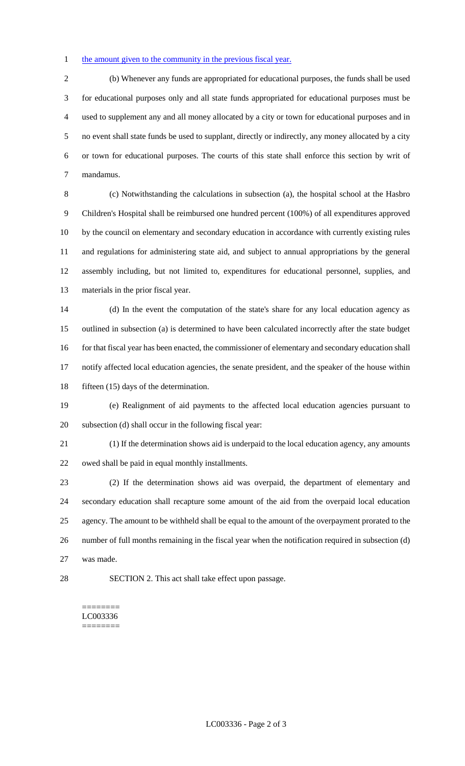#### 1 the amount given to the community in the previous fiscal year.

 (b) Whenever any funds are appropriated for educational purposes, the funds shall be used for educational purposes only and all state funds appropriated for educational purposes must be used to supplement any and all money allocated by a city or town for educational purposes and in no event shall state funds be used to supplant, directly or indirectly, any money allocated by a city or town for educational purposes. The courts of this state shall enforce this section by writ of mandamus.

 (c) Notwithstanding the calculations in subsection (a), the hospital school at the Hasbro Children's Hospital shall be reimbursed one hundred percent (100%) of all expenditures approved by the council on elementary and secondary education in accordance with currently existing rules and regulations for administering state aid, and subject to annual appropriations by the general assembly including, but not limited to, expenditures for educational personnel, supplies, and materials in the prior fiscal year.

 (d) In the event the computation of the state's share for any local education agency as outlined in subsection (a) is determined to have been calculated incorrectly after the state budget for that fiscal year has been enacted, the commissioner of elementary and secondary education shall notify affected local education agencies, the senate president, and the speaker of the house within 18 fifteen (15) days of the determination.

 (e) Realignment of aid payments to the affected local education agencies pursuant to subsection (d) shall occur in the following fiscal year:

 (1) If the determination shows aid is underpaid to the local education agency, any amounts owed shall be paid in equal monthly installments.

 (2) If the determination shows aid was overpaid, the department of elementary and secondary education shall recapture some amount of the aid from the overpaid local education agency. The amount to be withheld shall be equal to the amount of the overpayment prorated to the number of full months remaining in the fiscal year when the notification required in subsection (d) was made.

SECTION 2. This act shall take effect upon passage.

======== LC003336 ========